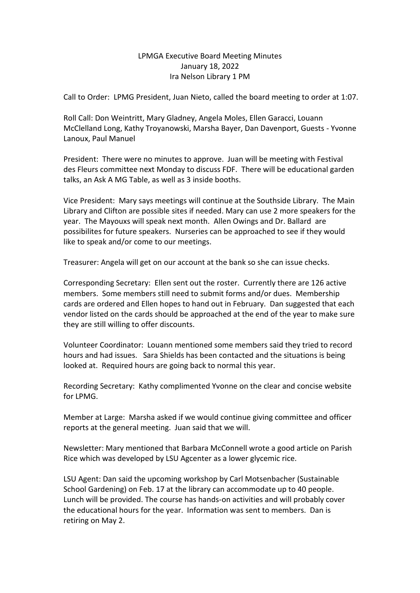## LPMGA Executive Board Meeting Minutes January 18, 2022 Ira Nelson Library 1 PM

Call to Order: LPMG President, Juan Nieto, called the board meeting to order at 1:07.

Roll Call: Don Weintritt, Mary Gladney, Angela Moles, Ellen Garacci, Louann McClelland Long, Kathy Troyanowski, Marsha Bayer, Dan Davenport, Guests - Yvonne Lanoux, Paul Manuel

President: There were no minutes to approve. Juan will be meeting with Festival des Fleurs committee next Monday to discuss FDF. There will be educational garden talks, an Ask A MG Table, as well as 3 inside booths.

Vice President: Mary says meetings will continue at the Southside Library. The Main Library and Clifton are possible sites if needed. Mary can use 2 more speakers for the year. The Mayouxs will speak next month. Allen Owings and Dr. Ballard are possibilites for future speakers. Nurseries can be approached to see if they would like to speak and/or come to our meetings.

Treasurer: Angela will get on our account at the bank so she can issue checks.

Corresponding Secretary: Ellen sent out the roster. Currently there are 126 active members. Some members still need to submit forms and/or dues. Membership cards are ordered and Ellen hopes to hand out in February. Dan suggested that each vendor listed on the cards should be approached at the end of the year to make sure they are still willing to offer discounts.

Volunteer Coordinator: Louann mentioned some members said they tried to record hours and had issues. Sara Shields has been contacted and the situations is being looked at. Required hours are going back to normal this year.

Recording Secretary: Kathy complimented Yvonne on the clear and concise website for LPMG.

Member at Large: Marsha asked if we would continue giving committee and officer reports at the general meeting. Juan said that we will.

Newsletter: Mary mentioned that Barbara McConnell wrote a good article on Parish Rice which was developed by LSU Agcenter as a lower glycemic rice.

LSU Agent: Dan said the upcoming workshop by Carl Motsenbacher (Sustainable School Gardening) on Feb. 17 at the library can accommodate up to 40 people. Lunch will be provided. The course has hands-on activities and will probably cover the educational hours for the year. Information was sent to members. Dan is retiring on May 2.